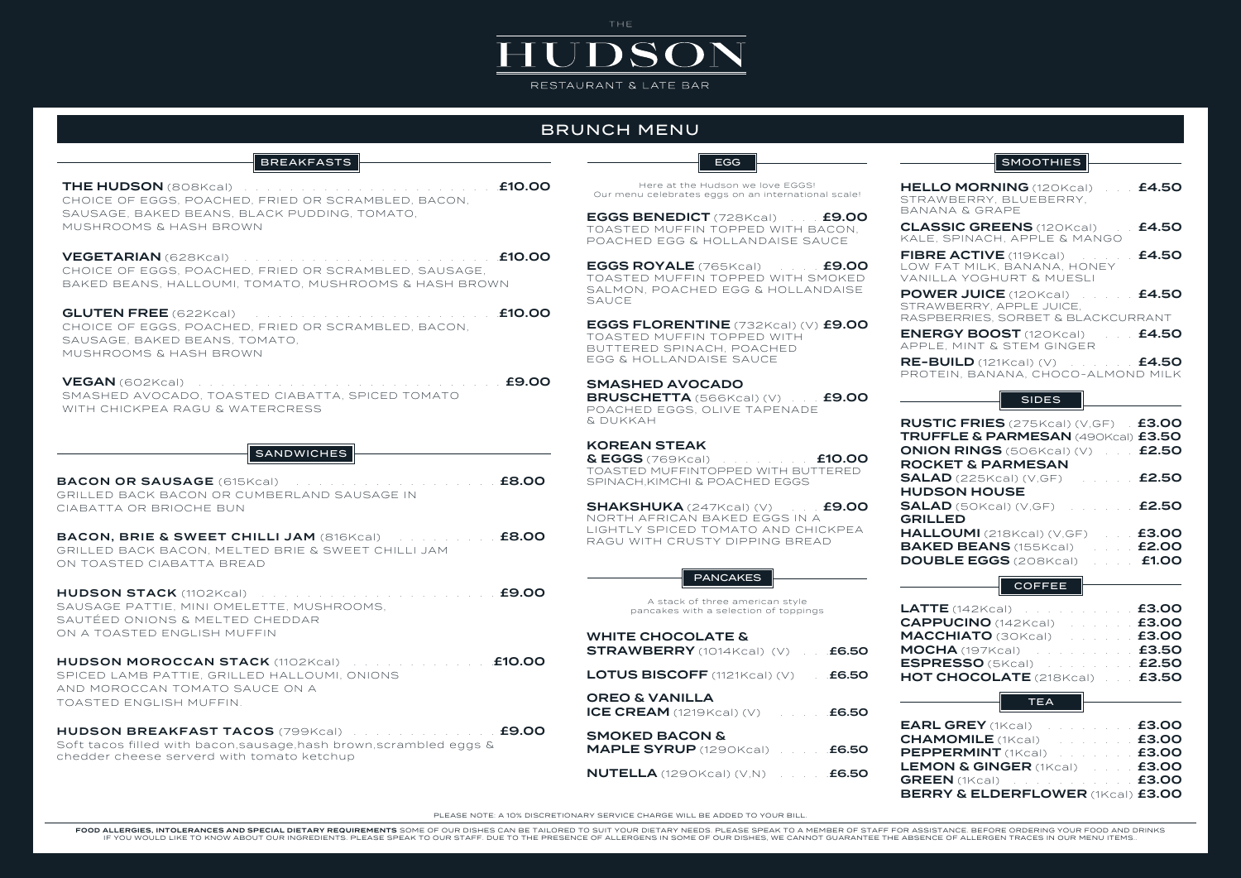| CHOICE OF EGGS, POACHED, FRIED OR SCRAMBLED, BACON, |  |
|-----------------------------------------------------|--|
| SAUSAGE, BAKED BEANS, BLACK PUDDING, TOMATO,        |  |
| MUSHROOMS & HASH BROWN-                             |  |
|                                                     |  |

VEGETARIAN (628Kcal) . . . . . . . . . . . . . . . . . . . . . . .£10.00 CHOICE OF EGGS, POACHED, FRIED OR SCRAMBLED, SAUSAGE, BAKED BEANS, HALLOUMI, TOMATO, MUSHROOMS & HASH BROWN

GLUTEN FREE (622Kcal) . . . . . . . . . . . . . . . . . . . . . .£10.00 CHOICE OF EGGS, POACHED, FRIED OR SCRAMBLED, BACON, SAUSAGE, BAKED BEANS, TOMATO, MUSHROOMS & HASH BROWN

VEGAN (602Kcal) . . . . . . . . . . . . . . . . . . . . . . . . . . . £9.00 SMASHED AVOCADO, TOASTED CIABATTA, SPICED TOMATO WITH CHICKPEA RAGU & WATERCRESS

### **SANDWICHES**

### KOREAN STEAK

HUDSON BREAKFAST TACOS (799Kcal) . . . . . . . . . . . . . . £9.00 Soft tacos filled with bacon,sausage,hash brown,scrambled eggs & chedder cheese serverd with tomato ketchup

FOOD ALLERGIES, INTOLERANCES AND SPECIAL DIETARY REQUIREMENTS SOME OF OUR DISHES CAN BE TAILORED TO SUIT YOUR DIETARY NEEDS. PLEASE SPEAK TO A MEMBER OF STAFF FOR ASSISTANCE. BEFORE ORDERING YOUR FOOD AND DRINKS IF YOU WOULD LIKE TO KNOW ABOUT OUR INGREDIENTS. PLEASE SPEAK TO OUR STAFF. DUE TO THE PRESENCE OF ALLERGENS IN SOME OF OUR DISHES, WE CANNOT GUARANTEE THE ABSENCE OF ALLERGEN TRACES IN OUR MENU ITEMS..

| <b>BREAKFASTS</b>                                                                                                                                                                                                                                                                                       | <b>EGG</b>                                                                                                                    | <b>SMOOTHIES</b>                                                                                                                              |
|---------------------------------------------------------------------------------------------------------------------------------------------------------------------------------------------------------------------------------------------------------------------------------------------------------|-------------------------------------------------------------------------------------------------------------------------------|-----------------------------------------------------------------------------------------------------------------------------------------------|
| £10.00<br>FRIED OR SCRAMBLED, BACON,                                                                                                                                                                                                                                                                    | Here at the Hudson we love EGGS!<br>Our menu celebrates eggs on an international scale!                                       | HELLO MORNING (120Kcal)<br>£4.50<br>STRAWBERRY, BLUEBERRY,<br><b>BANANA &amp; GRAPE</b>                                                       |
| ACK PUDDING, TOMATO,                                                                                                                                                                                                                                                                                    | <b>EGGS BENEDICT</b> (728Kcal) <b>£9.00</b><br>TOASTED MUFFIN TOPPED WITH BACON,<br>POACHED EGG & HOLLANDAISE SAUCE           | £4.50<br><b>CLASSIC GREENS</b> (120Kcal)<br>KALE, SPINACH, APPLE & MANGO                                                                      |
| £10.00<br>and the second contract of the second contract of the second contract of the second contract of the second contract of the second contract of the second contract of the second contract of the second contract of the second<br>FRIED OR SCRAMBLED, SAUSAGE,<br>MATO, MUSHROOMS & HASH BROWN | <b>EGGS ROYALE</b> (765Kcal) 11 69.00<br>TOASTED MUFFIN TOPPED WITH SMOKED                                                    | £4.50<br>FIBRE ACTIVE (119Kcal)<br>LOW FAT MILK, BANANA, HONEY<br>VANILLA YOGHURT & MUESLI                                                    |
| £10.00                                                                                                                                                                                                                                                                                                  | SALMON, POACHED EGG & HOLLANDAISE<br><b>SAUCE</b>                                                                             | £4.50<br><b>POWER JUICE</b> (120Kcal)<br>STRAWBERRY, APPLE JUICE,<br>RASPBERRIES, SORBET & BLACKCURRANT                                       |
| FRIED OR SCRAMBLED, BACON,<br>MATO.                                                                                                                                                                                                                                                                     | EGGS FLORENTINE (732Kcal) (V) £9.00<br>TOASTED MUFFIN TOPPED WITH<br>BUTTERED SPINACH, POACHED                                | <b>ENERGY BOOST</b> (120Kcal) <b>£4.50</b><br>APPLE, MINT & STEM GINGER                                                                       |
| £9.00                                                                                                                                                                                                                                                                                                   | EGG & HOLLANDAISE SAUCE<br><b>SMASHED AVOCADO</b>                                                                             | <b>RE-BUILD</b> $(121Kcal)$ (V) $\ldots$ <b>£4.50</b><br>PROTEIN, BANANA, CHOCO-ALMOND MILK                                                   |
| D CIABATTA, SPICED TOMATO<br>ERCRESS                                                                                                                                                                                                                                                                    | <b>BRUSCHETTA</b> (566Kcal) (V) £9.00<br>POACHED EGGS, OLIVE TAPENADE<br>& DUKKAH                                             | <b>SIDES</b><br><b>RUSTIC FRIES</b> (275Kcal) (V,GF) <b>£3.00</b>                                                                             |
| <b>SANDWICHES</b>                                                                                                                                                                                                                                                                                       | <b>KOREAN STEAK</b><br>& EGGS (769Kcal) <b>E10.00</b>                                                                         | <b>TRUFFLE &amp; PARMESAN (490Kcal) £3.50</b><br><b>ONION RINGS</b> (506Kcal) (V)<br>£2.50                                                    |
| £8.00<br>al)<br><b>1BERLAND SAUSAGE IN</b>                                                                                                                                                                                                                                                              | TOASTED MUFFINTOPPED WITH BUTTERED<br>SPINACH, KIMCHI & POACHED EGGS                                                          | <b>ROCKET &amp; PARMESAN</b><br>£2.50<br>$SALAD$ (225Kcal) (V,GF)<br><b>HUDSON HOUSE</b>                                                      |
|                                                                                                                                                                                                                                                                                                         | <b>SHAKSHUKA</b> $(247Kcal)$ (V) $\qquad$ <b>£9.00</b><br>NORTH AFRICAN BAKED EGGS IN A<br>LIGHTLY SPICED TOMATO AND CHICKPEA | £2.50<br><b>SALAD</b> (50Kcal) (V,GF)<br><b>GRILLED</b><br>£3.00<br>HALLOUMI (218Kcal) (V, GF)                                                |
| £8.00<br>$LLI$ JAM (816Kcal) $\ldots$<br>D BRIE & SWEET CHILLI JAM                                                                                                                                                                                                                                      | RAGU WITH CRUSTY DIPPING BREAD                                                                                                | £2.00<br><b>BAKED BEANS</b> (155Kcal)<br><b>DOUBLE EGGS</b> (208Kcal)<br>£1.00                                                                |
| £9.00                                                                                                                                                                                                                                                                                                   | <b>PANCAKES</b>                                                                                                               | <b>COFFEE</b>                                                                                                                                 |
| TTE, MUSHROOMS,<br><b>HEDDAR</b>                                                                                                                                                                                                                                                                        | A stack of three american style<br>pancakes with a selection of toppings                                                      | LATTE (142Kcal) £3.00<br><b>CAPPUCINO</b> (142Kcal) <b>E3.00</b>                                                                              |
| $\overline{\mathbb{N}}$                                                                                                                                                                                                                                                                                 | <b>WHITE CHOCOLATE &amp;</b><br>$\text{STRAWBERTY}$ (1014Kcal) (V) $\blacksquare$ £6.50                                       | MACCHIATO (30Kcal) Reserve E3.00<br><b>MOCHA</b> (197Kcal) <b>And E3.50</b>                                                                   |
| K (1102Kcal) Research March 2010 March 2010 March 2010 March 2010 March 2010 March 2010 March 2010 March 2010<br>HALLOUMI, ONIONS<br>CE ON A                                                                                                                                                            | <b>LOTUS BISCOFF</b> $(1121Kcal)$ (V) $\qquad$ <b>£6.50</b>                                                                   | ESPRESSO (5Kcal) Martin 1991 12.50<br>HOT CHOCOLATE (218Kcal)  £3.50                                                                          |
|                                                                                                                                                                                                                                                                                                         | <b>OREO &amp; VANILLA</b>                                                                                                     | $\overline{ }$ TEA                                                                                                                            |
| <b>S</b> (799Kcal) <b>£9.00</b><br>sage, hash brown, scrambled eggs &                                                                                                                                                                                                                                   | <b>SMOKED BACON &amp;</b><br><b>MAPLE SYRUP</b> (1290Kcal) <b>£6.50</b>                                                       | <b>EARL GREY</b> (1Kcal) <b>EARL GREY</b> (1Kcal)<br><b>CHAMOMILE</b> (1Kcal) <b>1999</b> 12 12 13:00<br>PEPPERMINT (1Kcal) No. 11. 12. 12.00 |
| omato ketchup                                                                                                                                                                                                                                                                                           | <b>NUTELLA</b> $(1290Kcal)$ $(V,N)$ $\ldots$ <b>£6.50</b>                                                                     | LEMON & GINGER (1Kcal) <b>E3.00</b><br><b>GREEN</b> (1Kcal) <b>All According to E3.00</b><br><b>BERRY &amp; ELDERFLOWER (1Kcal) £3.00</b>     |

# THE **JDS** RESTAURANT & LATE BAR

## BRUNCH MENU

| <b>BREAKFASTS</b> |  |
|-------------------|--|
|                   |  |
|                   |  |
|                   |  |

BACON OR SAUSAGE (615Kcal) . . . . . . . . . . . . . . . . . . £8.00 GRILLED BACK BACON OR CUMBERLAND SAUSAGE IN CIABATTA OR BRIOCHE BUN

BACON, BRIE & SWEET CHILLI JAM (816Kcal) . . . . . . . . . £8.00 GRILLED BACK BACON, MELTED BRIE & SWEET CHILLI JAM ON TOASTED CIABATTA BREAD

HUDSON STACK (1102Kcal) . . . . . . . . . . . . . . . . . . . . . £9.00 SAUSAGE PATTIE, MINI OMELETTE, MUSHROOMS, SAUTÉED ONIONS & MELTED CHEDDAR ON A TOASTED ENGLISH MUFFIN

HUDSON MOROCCAN STACK (1102Kcal) . . . . . . . . . . . . .£10.00 SPICED LAMB PATTIE, GRILLED HALLOUMI, ONIONS AND MOROCCAN TOMATO SAUCE ON A TOASTED ENGLISH MUFFIN.

PLEASE NOTE: A 10% DISCRETIONARY SERVICE CHARGE WILL BE ADDED TO YOUR BILL.